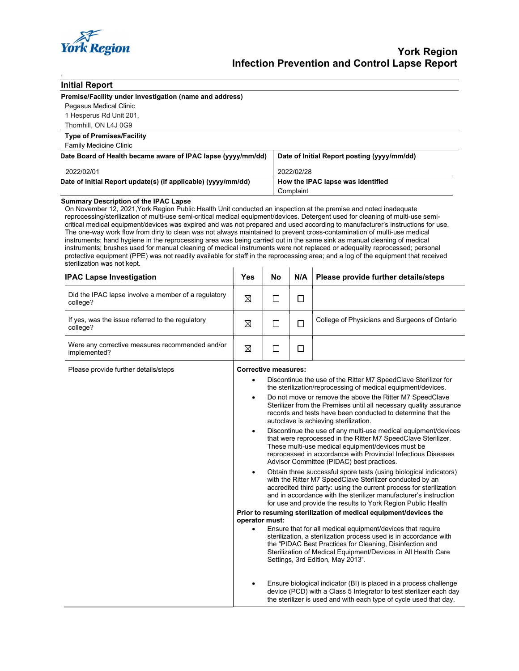

| <b>Initial Report</b> |
|-----------------------|
|-----------------------|

,

|  | Premise/Facility under investigation (name and address) |  |
|--|---------------------------------------------------------|--|
|--|---------------------------------------------------------|--|

Pegasus Medical Clinic 1 Hesperus Rd Unit 201,

Thornhill, ON L4J 0G9

Type of Premises/Facility Family Medicine Clinic

| allilly McGicille Cillillo                                    |                                             |
|---------------------------------------------------------------|---------------------------------------------|
| Date Board of Health became aware of IPAC lapse (yyyy/mm/dd)  | Date of Initial Report posting (yyyy/mm/dd) |
| 2022/02/01                                                    | 2022/02/28                                  |
| Date of Initial Report update(s) (if applicable) (yyyy/mm/dd) | How the IPAC lapse was identified           |
|                                                               | Complaint                                   |

#### Summary Description of the IPAC Lapse

On November 12, 2021,York Region Public Health Unit conducted an inspection at the premise and noted inadequate reprocessing/sterilization of multi-use semi-critical medical equipment/devices. Detergent used for cleaning of multi-use semicritical medical equipment/devices was expired and was not prepared and used according to manufacturer's instructions for use. The one-way work flow from dirty to clean was not always maintained to prevent cross-contamination of multi-use medical instruments; hand hygiene in the reprocessing area was being carried out in the same sink as manual cleaning of medical instruments; brushes used for manual cleaning of medical instruments were not replaced or adequality reprocessed; personal protective equipment (PPE) was not readily available for staff in the reprocessing area; and a log of the equipment that received sterilization was not kept.

| <b>IPAC Lapse Investigation</b>                                 | Yes | No | N/A | Please provide further details/steps          |
|-----------------------------------------------------------------|-----|----|-----|-----------------------------------------------|
| Did the IPAC lapse involve a member of a regulatory<br>college? | ⊠   |    |     |                                               |
| If yes, was the issue referred to the regulatory<br>college?    | ⊠   |    |     | College of Physicians and Surgeons of Ontario |
| Were any corrective measures recommended and/or<br>implemented? | ⊠   |    |     |                                               |

Please provide further details/steps **Corrective measures:** 

 Discontinue the use of the Ritter M7 SpeedClave Sterilizer for the sterilization/reprocessing of medical equipment/devices. Do not move or remove the above the Ritter M7 SpeedClave

- Sterilizer from the Premises until all necessary quality assurance records and tests have been conducted to determine that the autoclave is achieving sterilization.
- Discontinue the use of any multi-use medical equipment/devices that were reprocessed in the Ritter M7 SpeedClave Sterilizer. These multi-use medical equipment/devices must be reprocessed in accordance with Provincial Infectious Diseases Advisor Committee (PIDAC) best practices.
- Obtain three successful spore tests (using biological indicators) with the Ritter M7 SpeedClave Sterilizer conducted by an accredited third party: using the current process for sterilization and in accordance with the sterilizer manufacturer's instruction for use and provide the results to York Region Public Health

#### Prior to resuming sterilization of medical equipment/devices the operator must:

- Ensure that for all medical equipment/devices that require sterilization, a sterilization process used is in accordance with the "PIDAC Best Practices for Cleaning, Disinfection and Sterilization of Medical Equipment/Devices in All Health Care Settings, 3rd Edition, May 2013".
- Ensure biological indicator (BI) is placed in a process challenge device (PCD) with a Class 5 Integrator to test sterilizer each day the sterilizer is used and with each type of cycle used that day.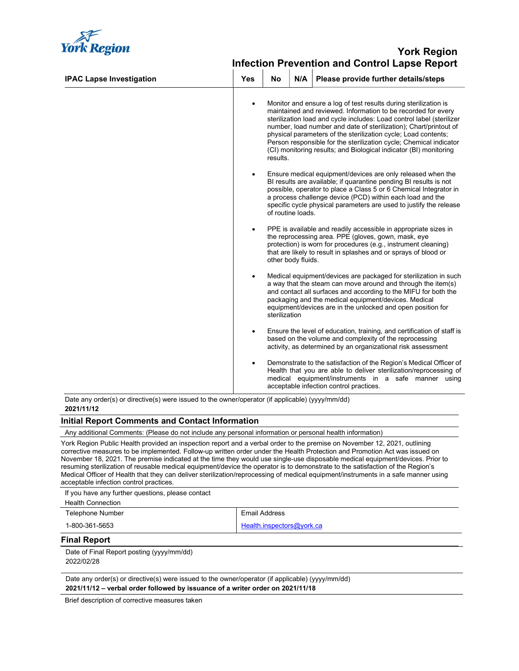

# *York Region* and the second second second second second second second second second second second second second Infection Prevention and Control Lapse Report

| <b>IPAC Lapse Investigation</b> | <b>Yes</b> | No            | N/A                | Please provide further details/steps                                                                                                                                                                                                                                                                                                                                                                                                                                                         |
|---------------------------------|------------|---------------|--------------------|----------------------------------------------------------------------------------------------------------------------------------------------------------------------------------------------------------------------------------------------------------------------------------------------------------------------------------------------------------------------------------------------------------------------------------------------------------------------------------------------|
|                                 | ٠          | results.      |                    | Monitor and ensure a log of test results during sterilization is<br>maintained and reviewed. Information to be recorded for every<br>sterilization load and cycle includes: Load control label (sterilizer<br>number, load number and date of sterilization); Chart/printout of<br>physical parameters of the sterilization cycle; Load contents;<br>Person responsible for the sterilization cycle; Chemical indicator<br>(CI) monitoring results; and Biological indicator (BI) monitoring |
|                                 |            |               | of routine loads.  | Ensure medical equipment/devices are only released when the<br>BI results are available; if quarantine pending BI results is not<br>possible, operator to place a Class 5 or 6 Chemical Integrator in<br>a process challenge device (PCD) within each load and the<br>specific cycle physical parameters are used to justify the release                                                                                                                                                     |
|                                 | ٠          |               | other body fluids. | PPE is available and readily accessible in appropriate sizes in<br>the reprocessing area. PPE (gloves, gown, mask, eye<br>protection) is worn for procedures (e.g., instrument cleaning)<br>that are likely to result in splashes and or sprays of blood or                                                                                                                                                                                                                                  |
|                                 | ٠          | sterilization |                    | Medical equipment/devices are packaged for sterilization in such<br>a way that the steam can move around and through the item(s)<br>and contact all surfaces and according to the MIFU for both the<br>packaging and the medical equipment/devices. Medical<br>equipment/devices are in the unlocked and open position for                                                                                                                                                                   |
|                                 | $\bullet$  |               |                    | Ensure the level of education, training, and certification of staff is<br>based on the volume and complexity of the reprocessing<br>activity, as determined by an organizational risk assessment                                                                                                                                                                                                                                                                                             |
|                                 | ٠          |               |                    | Demonstrate to the satisfaction of the Region's Medical Officer of<br>Health that you are able to deliver sterilization/reprocessing of<br>medical equipment/instruments in a safe manner using<br>acceptable infection control practices.                                                                                                                                                                                                                                                   |

Date any order(s) or directive(s) were issued to the owner/operator (if applicable) (yyyy/mm/dd) 2021/11/12

#### Initial Report Comments and Contact Information

Any additional Comments: (Please do not include any personal information or personal health information)

York Region Public Health provided an inspection report and a verbal order to the premise on November 12, 2021, outlining corrective measures to be implemented. Follow-up written order under the Health Protection and Promotion Act was issued on November 18, 2021. The premise indicated at the time they would use single-use disposable medical equipment/devices. Prior to resuming sterilization of reusable medical equipment/device the operator is to demonstrate to the satisfaction of the Region's Medical Officer of Health that they can deliver sterilization/reprocessing of medical equipment/instruments in a safe manner using acceptable infection control practices.

If you have any further questions, please contact

Health Connection

Telephone Number **Email Address** 

1-800-361-5653 **Health.inspectors@york.ca** 

### Final Report

Date of Final Report posting (yyyy/mm/dd) 2022/02/28

Date any order(s) or directive(s) were issued to the owner/operator (if applicable) (yyyy/mm/dd) 2021/11/12 – verbal order followed by issuance of a writer order on 2021/11/18

Brief description of corrective measures taken